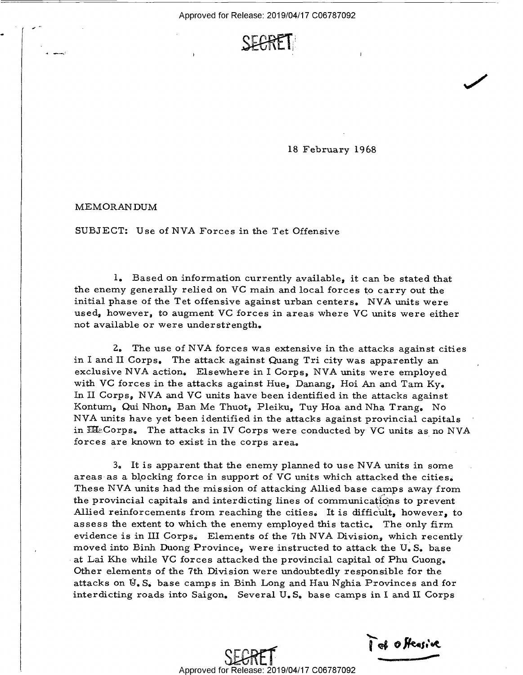

18 February 1968

 $\overline{\phantom{a}}$ 

MEMORANDUM

 $-$ 

SUBJECT: Use of NVA Forces in the Tet Offensive

1. Based on information currently available, it can be stated that the enemy generally relied on VC main and local forces to carry out the initial phase of the Tet offensive against urban centers. NVA units were used, however, to augment VC forces in areas where VC units were either not available or were understrength.

Z. The use of NVA forces was extensive in the attacks against cities in I and II Corps. The attack against Quang Tri city was apparently an exclusive NVA action. Elsewhere in I Corps, NVA units were employed with VC forces in the attacks against Hue, Danang, Hoi An and Tam  $Ky_{\bullet}$ In II Corps, NVA and VC units have been identified in the attacks against<br>Kontum, Qui Nhon, Ban Me Thuot, Pleiku, Tuy Hoa and Nha Trang. No NVA units have yet been identified in the attacks against provincial capitals in  $\mathbb{H}\mathbb{E}$ Corps. The attacks in IV Corps were conducted by VC units as no NVA forces are known to exist in the corps area.

3. It is apparent that the enemy planned to use NVA units in some areas as a blocking force in support of VC units which attacked the cities. These NVA units had the mission of attacking Allied base camps away from the provincial capitals and interdicting lines of communications to prevent Allied reinforcements from reaching the cities. It is difficult, however, to assess the extent to which the enemy employed this tactic. The only firm evidence is in III Corps. Elements of the 7th NVA Division, which recently moved into Binh Duong Province, were instructed to attack the U. S. base at Lai Khe while VC forces attacked the provincial capital of Phu Cuong. Other elements of the 7th Division were undoubtedly responsible for the attacks on  $\mathbb{U}_\bullet$  S. base camps in Binh Long and Hau Nghia Provinces and for interdicting roads into Saigon. Several U. S. base camps in I and ll Corps

Tet offeasive